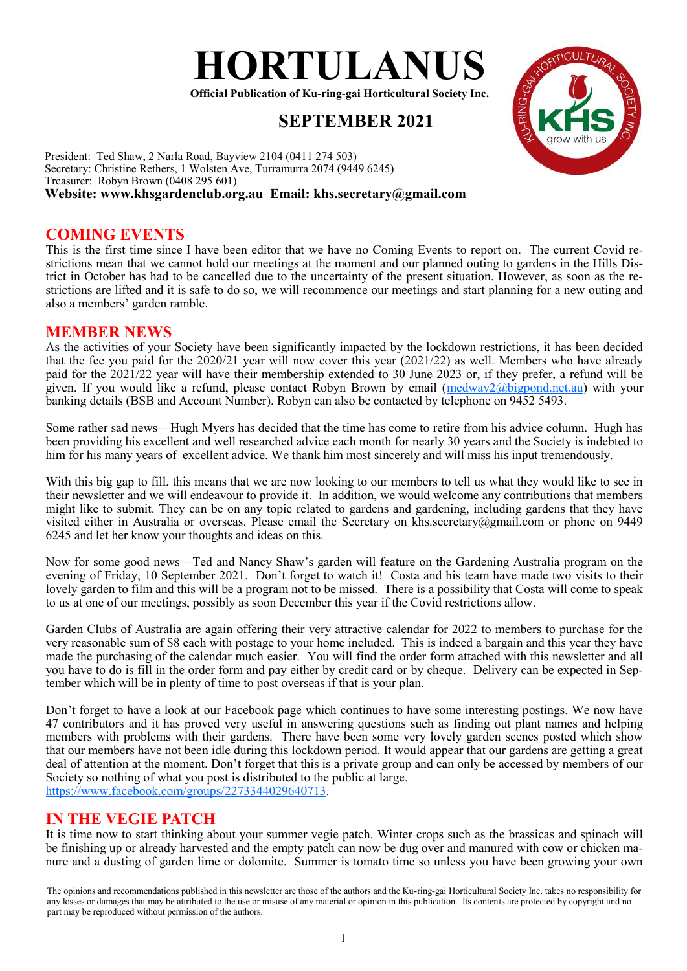

**Official Publication of Ku-ring-gai Horticultural Society Inc.**

# **SEPTEMBER 2021**



President: Ted Shaw, 2 Narla Road, Bayview 2104 (0411 274 503) Secretary: Christine Rethers, 1 Wolsten Ave, Turramurra 2074 (9449 6245) Treasurer: Robyn Brown (0408 295 601)

# **Website: www.khsgardenclub.org.au Email: khs.secretary@gmail.com**

### **COMING EVENTS**

This is the first time since I have been editor that we have no Coming Events to report on. The current Covid restrictions mean that we cannot hold our meetings at the moment and our planned outing to gardens in the Hills District in October has had to be cancelled due to the uncertainty of the present situation. However, as soon as the restrictions are lifted and it is safe to do so, we will recommence our meetings and start planning for a new outing and also a members' garden ramble.

#### **MEMBER NEWS**

As the activities of your Society have been significantly impacted by the lockdown restrictions, it has been decided that the fee you paid for the  $2020/21$  year will now cover this year (2021/22) as well. Members who have already paid for the 2021/22 year will have their membership extended to 30 June 2023 or, if they prefer, a refund will be given. If you would like a refund, please contact Robyn Brown by email ( $\frac{m \cdot d \cdot \hat{m}}{m \cdot d \cdot \hat{m}}$ ) with your banking details (BSB and Account Number). Robyn can also be contacted by telephone on 9452 5493.

Some rather sad news—Hugh Myers has decided that the time has come to retire from his advice column. Hugh has been providing his excellent and well researched advice each month for nearly 30 years and the Society is indebted to him for his many years of excellent advice. We thank him most sincerely and will miss his input tremendously.

With this big gap to fill, this means that we are now looking to our members to tell us what they would like to see in their newsletter and we will endeavour to provide it. In addition, we would welcome any contributions that members might like to submit. They can be on any topic related to gardens and gardening, including gardens that they have visited either in Australia or overseas. Please email the Secretary on khs.secretary@gmail.com or phone on 9449 6245 and let her know your thoughts and ideas on this.

Now for some good news—Ted and Nancy Shaw's garden will feature on the Gardening Australia program on the evening of Friday, 10 September 2021. Don't forget to watch it! Costa and his team have made two visits to their lovely garden to film and this will be a program not to be missed. There is a possibility that Costa will come to speak to us at one of our meetings, possibly as soon December this year if the Covid restrictions allow.

Garden Clubs of Australia are again offering their very attractive calendar for 2022 to members to purchase for the very reasonable sum of \$8 each with postage to your home included. This is indeed a bargain and this year they have made the purchasing of the calendar much easier. You will find the order form attached with this newsletter and all you have to do is fill in the order form and pay either by credit card or by cheque. Delivery can be expected in September which will be in plenty of time to post overseas if that is your plan.

Don't forget to have a look at our Facebook page which continues to have some interesting postings. We now have 47 contributors and it has proved very useful in answering questions such as finding out plant names and helping members with problems with their gardens. There have been some very lovely garden scenes posted which show that our members have not been idle during this lockdown period. It would appear that our gardens are getting a great deal of attention at the moment. Don't forget that this is a private group and can only be accessed by members of our Society so nothing of what you post is distributed to the public at large. <https://www.facebook.com/groups/2273344029640713>.

## **IN THE VEGIE PATCH**

It is time now to start thinking about your summer vegie patch. Winter crops such as the brassicas and spinach will be finishing up or already harvested and the empty patch can now be dug over and manured with cow or chicken manure and a dusting of garden lime or dolomite. Summer is tomato time so unless you have been growing your own

The opinions and recommendations published in this newsletter are those of the authors and the Ku-ring-gai Horticultural Society Inc. takes no responsibility for any losses or damages that may be attributed to the use or misuse of any material or opinion in this publication. Its contents are protected by copyright and no part may be reproduced without permission of the authors.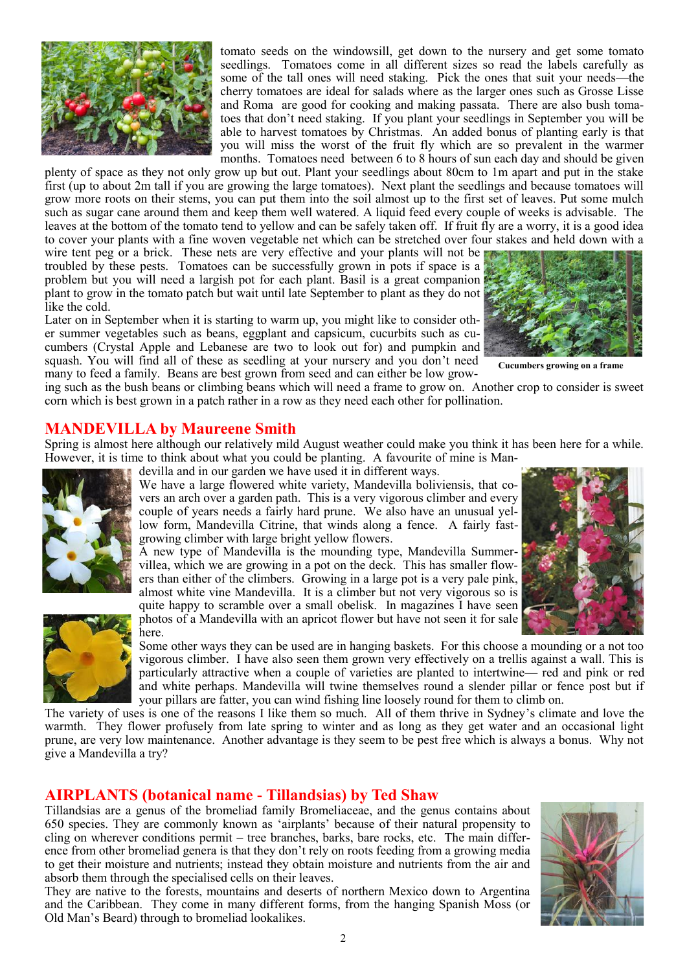

tomato seeds on the windowsill, get down to the nursery and get some tomato seedlings. Tomatoes come in all different sizes so read the labels carefully as some of the tall ones will need staking. Pick the ones that suit your needs—the cherry tomatoes are ideal for salads where as the larger ones such as Grosse Lisse and Roma are good for cooking and making passata. There are also bush tomatoes that don't need staking. If you plant your seedlings in September you will be able to harvest tomatoes by Christmas. An added bonus of planting early is that you will miss the worst of the fruit fly which are so prevalent in the warmer months. Tomatoes need between 6 to 8 hours of sun each day and should be given

plenty of space as they not only grow up but out. Plant your seedlings about 80cm to 1m apart and put in the stake first (up to about 2m tall if you are growing the large tomatoes). Next plant the seedlings and because tomatoes will grow more roots on their stems, you can put them into the soil almost up to the first set of leaves. Put some mulch such as sugar cane around them and keep them well watered. A liquid feed every couple of weeks is advisable. The leaves at the bottom of the tomato tend to yellow and can be safely taken off. If fruit fly are a worry, it is a good idea to cover your plants with a fine woven vegetable net which can be stretched over four stakes and held down with a

wire tent peg or a brick. These nets are very effective and your plants will not be troubled by these pests. Tomatoes can be successfully grown in pots if space is a problem but you will need a largish pot for each plant. Basil is a great companion plant to grow in the tomato patch but wait until late September to plant as they do not like the cold.

Later on in September when it is starting to warm up, you might like to consider other summer vegetables such as beans, eggplant and capsicum, cucurbits such as cucumbers (Crystal Apple and Lebanese are two to look out for) and pumpkin and squash. You will find all of these as seedling at your nursery and you don't need many to feed a family. Beans are best grown from seed and can either be low grow-



**Cucumbers growing on a frame**

ing such as the bush beans or climbing beans which will need a frame to grow on. Another crop to consider is sweet corn which is best grown in a patch rather in a row as they need each other for pollination.

#### **MANDEVILLA by Maureene Smith**

Spring is almost here although our relatively mild August weather could make you think it has been here for a while. However, it is time to think about what you could be planting. A favourite of mine is Man-



devilla and in our garden we have used it in different ways.

We have a large flowered white variety, Mandevilla boliviensis, that covers an arch over a garden path. This is a very vigorous climber and every couple of years needs a fairly hard prune. We also have an unusual yellow form, Mandevilla Citrine, that winds along a fence. A fairly fastgrowing climber with large bright yellow flowers.

A new type of Mandevilla is the mounding type, Mandevilla Summervillea, which we are growing in a pot on the deck. This has smaller flowers than either of the climbers. Growing in a large pot is a very pale pink, almost white vine Mandevilla. It is a climber but not very vigorous so is quite happy to scramble over a small obelisk. In magazines I have seen





photos of a Mandevilla with an apricot flower but have not seen it for sale here.

Some other ways they can be used are in hanging baskets. For this choose a mounding or a not too vigorous climber. I have also seen them grown very effectively on a trellis against a wall. This is particularly attractive when a couple of varieties are planted to intertwine— red and pink or red and white perhaps. Mandevilla will twine themselves round a slender pillar or fence post but if your pillars are fatter, you can wind fishing line loosely round for them to climb on.

The variety of uses is one of the reasons I like them so much. All of them thrive in Sydney's climate and love the warmth. They flower profusely from late spring to winter and as long as they get water and an occasional light prune, are very low maintenance. Another advantage is they seem to be pest free which is always a bonus. Why not give a Mandevilla a try?

#### **AIRPLANTS (botanical name - Tillandsias) by Ted Shaw**

Tillandsias are a genus of the bromeliad family Bromeliaceae, and the genus contains about 650 species. They are commonly known as 'airplants' because of their natural propensity to cling on wherever conditions permit – tree branches, barks, bare rocks, etc. The main difference from other bromeliad genera is that they don't rely on roots feeding from a growing media to get their moisture and nutrients; instead they obtain moisture and nutrients from the air and absorb them through the specialised cells on their leaves.

They are native to the forests, mountains and deserts of northern Mexico down to Argentina and the Caribbean. They come in many different forms, from the hanging Spanish Moss (or Old Man's Beard) through to bromeliad lookalikes.

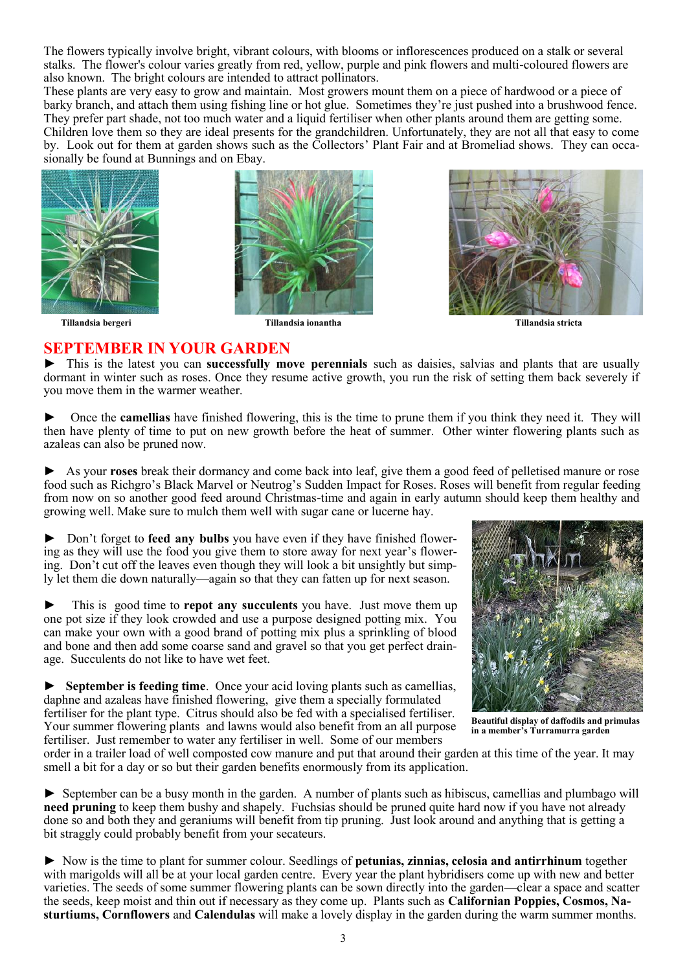The flowers typically involve bright, vibrant colours, with blooms or [inflorescences p](https://en.wikipedia.org/wiki/Inflorescence)roduced on a stalk or several stalks. The flower's colour varies greatly from red, yellow, purple and pink flowers and multi-coloured flowers are also known. The bright colours are intended to attract [pollinators.](https://en.wikipedia.org/wiki/Pollinator)

These plants are very easy to grow and maintain. Most growers mount them on a piece of hardwood or a piece of barky branch, and attach them using fishing line or hot glue. Sometimes they're just pushed into a brushwood fence. They prefer part shade, not too much water and a liquid fertiliser when other plants around them are getting some. Children love them so they are ideal presents for the grandchildren. Unfortunately, they are not all that easy to come by. Look out for them at garden shows such as the Collectors' Plant Fair and at Bromeliad shows. They can occasionally be found at Bunnings and on Ebay.







**SEPTEMBER IN YOUR GARDEN** ► This is the latest you can **successfully move perennials** such as daisies, salvias and plants that are usually dormant in winter such as roses. Once they resume active growth, you run the risk of setting them back severely if you move them in the warmer weather.

► Once the **camellias** have finished flowering, this is the time to prune them if you think they need it. They will then have plenty of time to put on new growth before the heat of summer. Other winter flowering plants such as azaleas can also be pruned now.

► As your **roses** break their dormancy and come back into leaf, give them a good feed of pelletised manure or rose food such as Richgro's Black Marvel or Neutrog's Sudden Impact for Roses. Roses will benefit from regular feeding from now on so another good feed around Christmas-time and again in early autumn should keep them healthy and growing well. Make sure to mulch them well with sugar cane or lucerne hay.

► Don't forget to **feed any bulbs** you have even if they have finished flowering as they will use the food you give them to store away for next year's flowering. Don't cut off the leaves even though they will look a bit unsightly but simply let them die down naturally—again so that they can fatten up for next season.

This is good time to **repot any succulents** you have. Just move them up one pot size if they look crowded and use a purpose designed potting mix. You can make your own with a good brand of potting mix plus a sprinkling of blood and bone and then add some coarse sand and gravel so that you get perfect drainage. Succulents do not like to have wet feet.

► **September is feeding time**. Once your acid loving plants such as camellias, daphne and azaleas have finished flowering, give them a specially formulated fertiliser for the plant type. Citrus should also be fed with a specialised fertiliser. Your summer flowering plants and lawns would also benefit from an all purpose fertiliser. Just remember to water any fertiliser in well. Some of our members



**Beautiful display of daffodils and primulas in a member's Turramurra garden**

order in a trailer load of well composted cow manure and put that around their garden at this time of the year. It may smell a bit for a day or so but their garden benefits enormously from its application.

► September can be a busy month in the garden. A number of plants such as hibiscus, camellias and plumbago will **need pruning** to keep them bushy and shapely. Fuchsias should be pruned quite hard now if you have not already done so and both they and geraniums will benefit from tip pruning. Just look around and anything that is getting a bit straggly could probably benefit from your secateurs.

► Now is the time to plant for summer colour. Seedlings of **petunias, zinnias, celosia and antirrhinum** together with marigolds will all be at your local garden centre. Every year the plant hybridisers come up with new and better varieties. The seeds of some summer flowering plants can be sown directly into the garden—clear a space and scatter the seeds, keep moist and thin out if necessary as they come up. Plants such as **Californian Poppies, Cosmos, Nasturtiums, Cornflowers** and **Calendulas** will make a lovely display in the garden during the warm summer months.